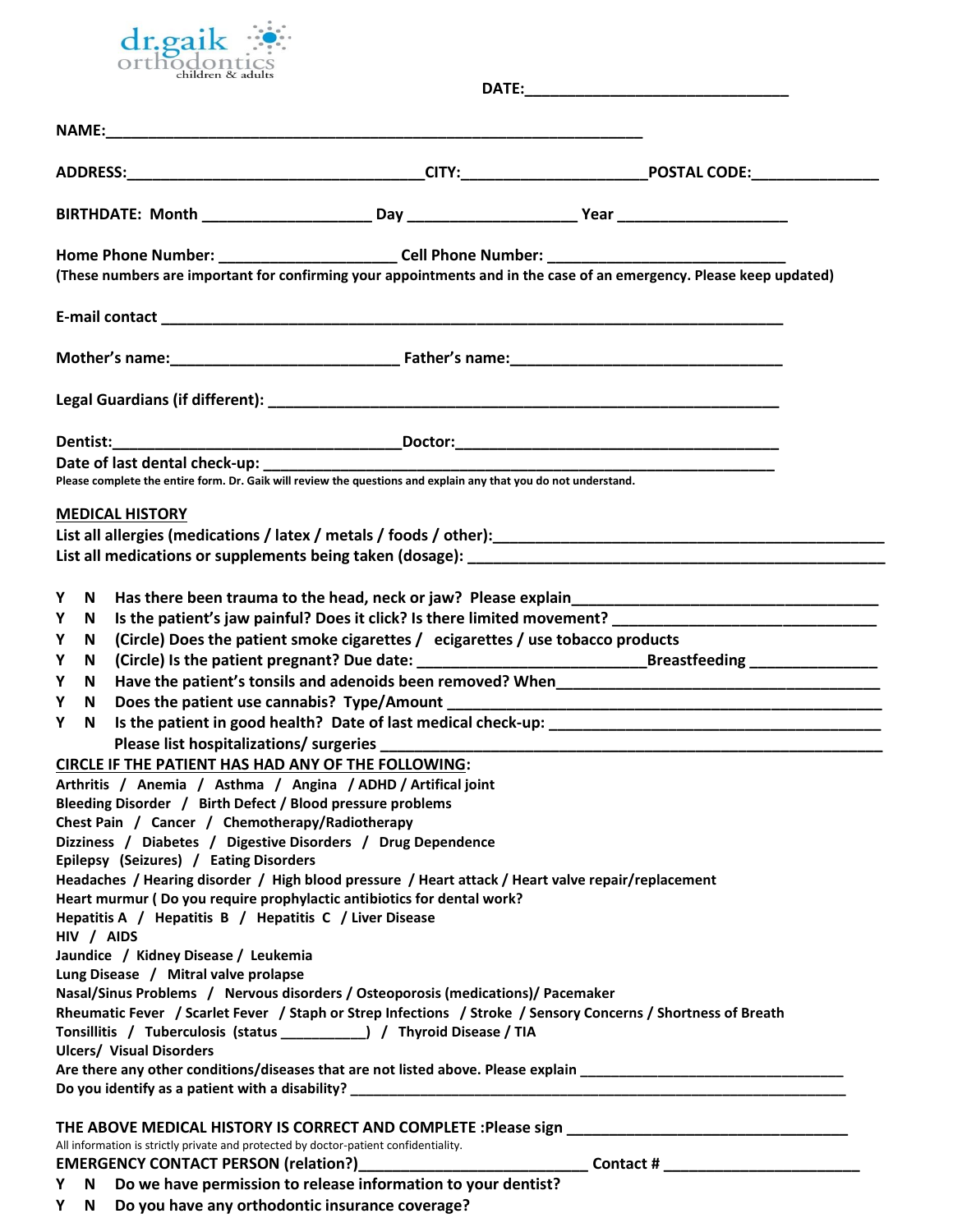

|                                                                     |                                                                                                                                                                                                                | Home Phone Number: ____________________________Cell Phone Number: __________________________________<br>(These numbers are important for confirming your appointments and in the case of an emergency. Please keep updated)                                                                                                                                                                                                                                              |  |
|---------------------------------------------------------------------|----------------------------------------------------------------------------------------------------------------------------------------------------------------------------------------------------------------|--------------------------------------------------------------------------------------------------------------------------------------------------------------------------------------------------------------------------------------------------------------------------------------------------------------------------------------------------------------------------------------------------------------------------------------------------------------------------|--|
|                                                                     |                                                                                                                                                                                                                |                                                                                                                                                                                                                                                                                                                                                                                                                                                                          |  |
|                                                                     |                                                                                                                                                                                                                |                                                                                                                                                                                                                                                                                                                                                                                                                                                                          |  |
|                                                                     |                                                                                                                                                                                                                |                                                                                                                                                                                                                                                                                                                                                                                                                                                                          |  |
|                                                                     |                                                                                                                                                                                                                |                                                                                                                                                                                                                                                                                                                                                                                                                                                                          |  |
|                                                                     |                                                                                                                                                                                                                | Please complete the entire form. Dr. Gaik will review the questions and explain any that you do not understand.                                                                                                                                                                                                                                                                                                                                                          |  |
|                                                                     | <b>MEDICAL HISTORY</b>                                                                                                                                                                                         |                                                                                                                                                                                                                                                                                                                                                                                                                                                                          |  |
|                                                                     |                                                                                                                                                                                                                |                                                                                                                                                                                                                                                                                                                                                                                                                                                                          |  |
| Y<br>N.<br>Y<br>N<br>Y<br>N<br>Υ<br>N<br>Y<br>N<br>Υ<br>N<br>Y<br>N | CIRCLE IF THE PATIENT HAS HAD ANY OF THE FOLLOWING:<br>Bleeding Disorder / Birth Defect / Blood pressure problems<br>Chest Pain / Cancer / Chemotherapy/Radiotherapy<br>Epilepsy (Seizures) / Eating Disorders | Is the patient's jaw painful? Does it click? Is there limited movement?<br>(Circle) Does the patient smoke cigarettes / ecigarettes / use tobacco products<br>(Circle) Is the patient pregnant? Due date: ___________________________________Breastfeeding _________________<br>Please list hospitalizations/ surgeries _______________<br>Arthritis / Anemia / Asthma / Angina / ADHD / Artifical joint<br>Dizziness / Diabetes / Digestive Disorders / Drug Dependence |  |
| HIV / AIDS                                                          | Hepatitis A / Hepatitis B / Hepatitis C / Liver Disease                                                                                                                                                        | Headaches / Hearing disorder / High blood pressure / Heart attack / Heart valve repair/replacement<br>Heart murmur (Do you require prophylactic antibiotics for dental work?                                                                                                                                                                                                                                                                                             |  |
|                                                                     | Jaundice / Kidney Disease / Leukemia<br>Lung Disease / Mitral valve prolapse<br><b>Ulcers/ Visual Disorders</b>                                                                                                | Nasal/Sinus Problems / Nervous disorders / Osteoporosis (medications)/ Pacemaker<br>Rheumatic Fever / Scarlet Fever / Staph or Strep Infections / Stroke / Sensory Concerns / Shortness of Breath<br>Tonsillitis / Tuberculosis (status ____________) / Thyroid Disease / TIA<br>Are there any other conditions/diseases that are not listed above. Please explain ____________________________                                                                          |  |
|                                                                     | All information is strictly private and protected by doctor-patient confidentiality.                                                                                                                           | EMERGENCY CONTACT PERSON (relation?)__________________<br>Y N Do we have permission to release information to your dentist?                                                                                                                                                                                                                                                                                                                                              |  |

**Y N Do you have any orthodontic insurance coverage?**